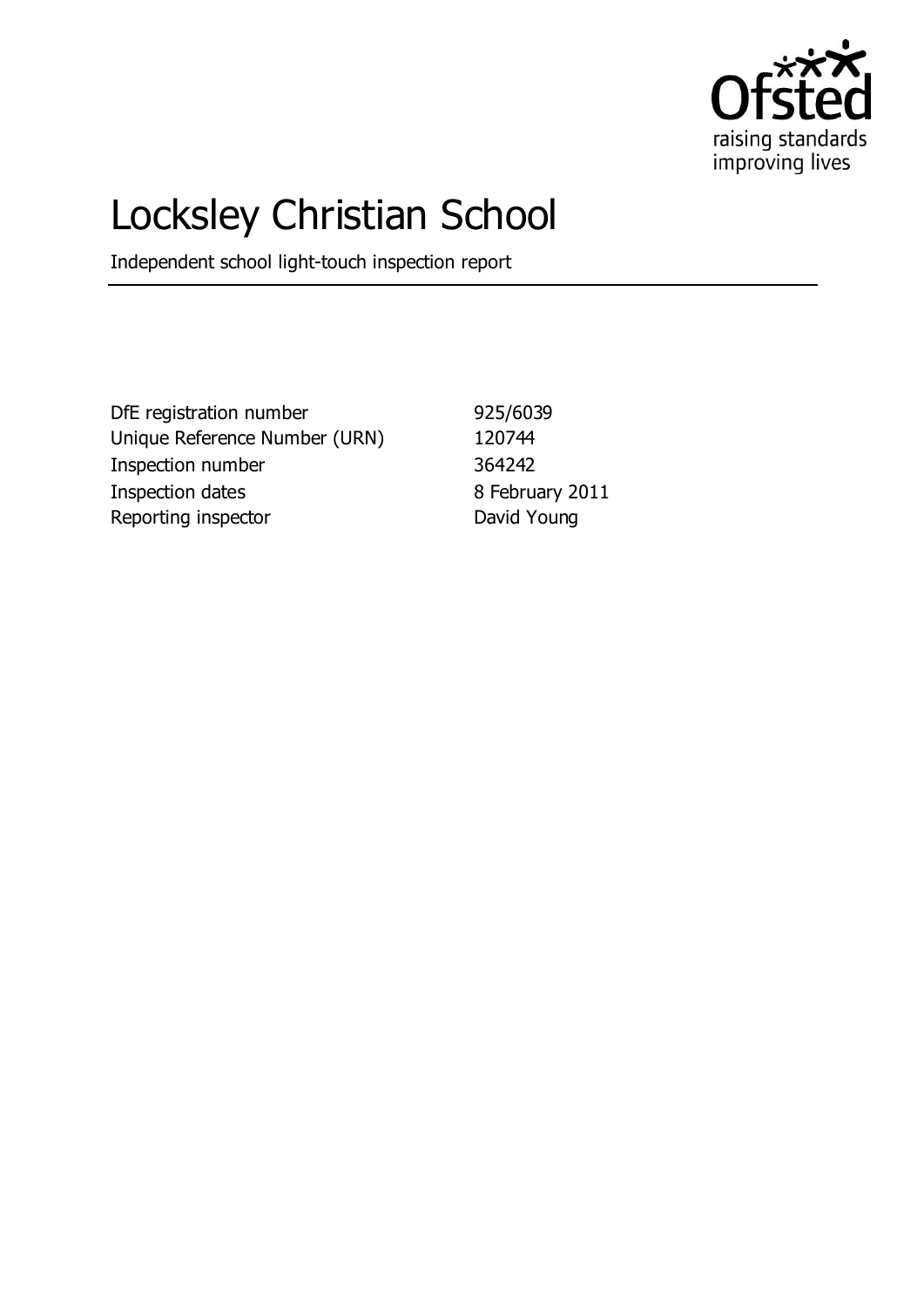

# Locksley Christian School

Independent school light-touch inspection report

DfE registration number 925/6039 Unique Reference Number (URN) 120744 Inspection number 364242 Inspection dates 8 February 2011 Reporting inspector **David Young**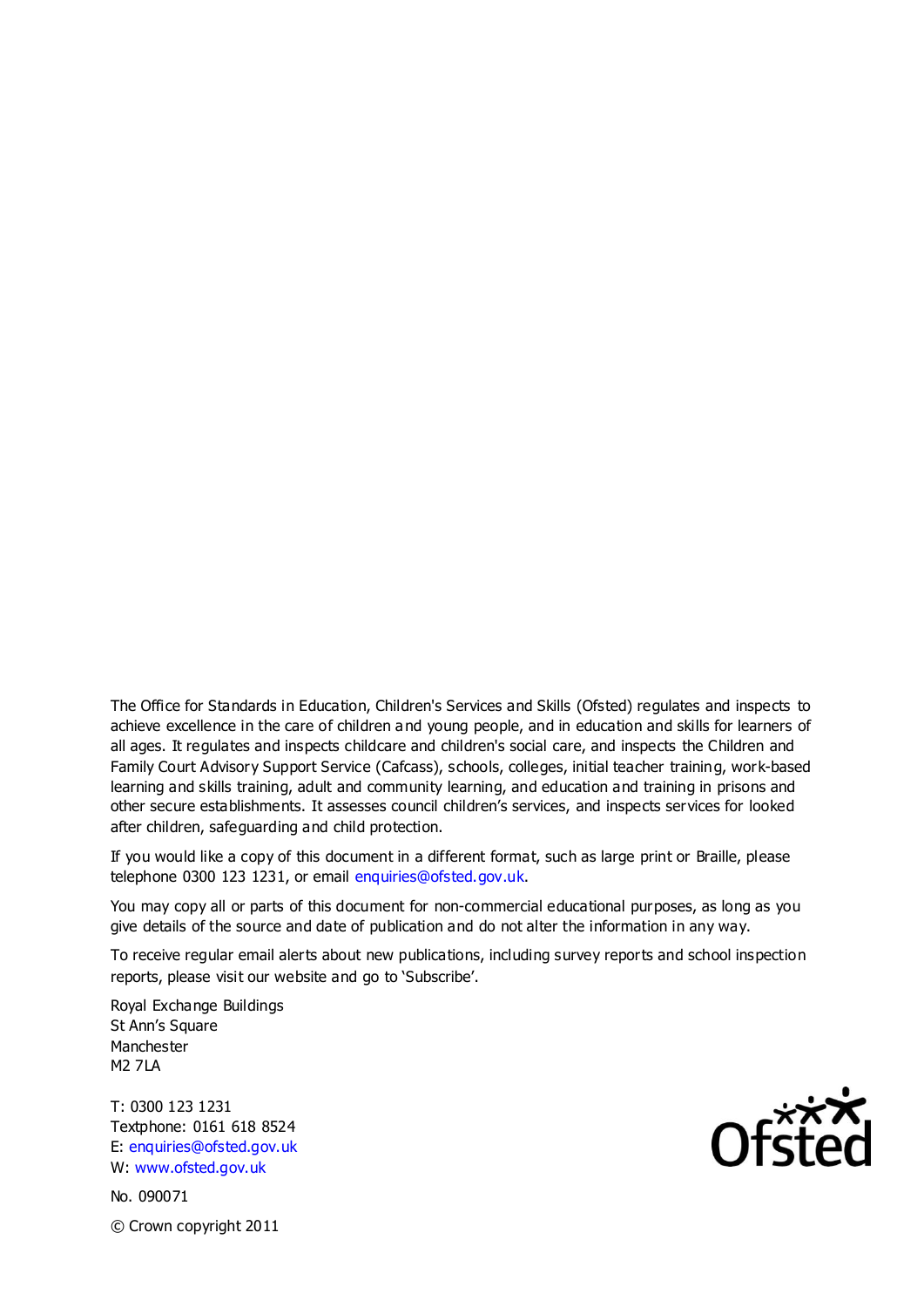The Office for Standards in Education, Children's Services and Skills (Ofsted) regulates and inspects to achieve excellence in the care of children and young people, and in education and skills for learners of all ages. It regulates and inspects childcare and children's social care, and inspects the Children and Family Court Advisory Support Service (Cafcass), schools, colleges, initial teacher training, work-based learning and skills training, adult and community learning, and education and training in prisons and other secure establishments. It assesses council children's services, and inspects services for looked after children, safeguarding and child protection.

If you would like a copy of this document in a different format, such as large print or Braille, please telephone 0300 123 1231, or email enquiries@ofsted.gov.uk.

You may copy all or parts of this document for non-commercial educational purposes, as long as you give details of the source and date of publication and do not alter the information in any way.

To receive regular email alerts about new publications, including survey reports and school inspection reports, please visit our website and go to 'Subscribe'.

Royal Exchange Buildings St Ann's Square Manchester M2 7LA

T: 0300 123 1231 Textphone: 0161 618 8524 E: enquiries@ofsted.gov.uk W: www.ofsted.gov.uk

No. 090071 © Crown copyright 2011

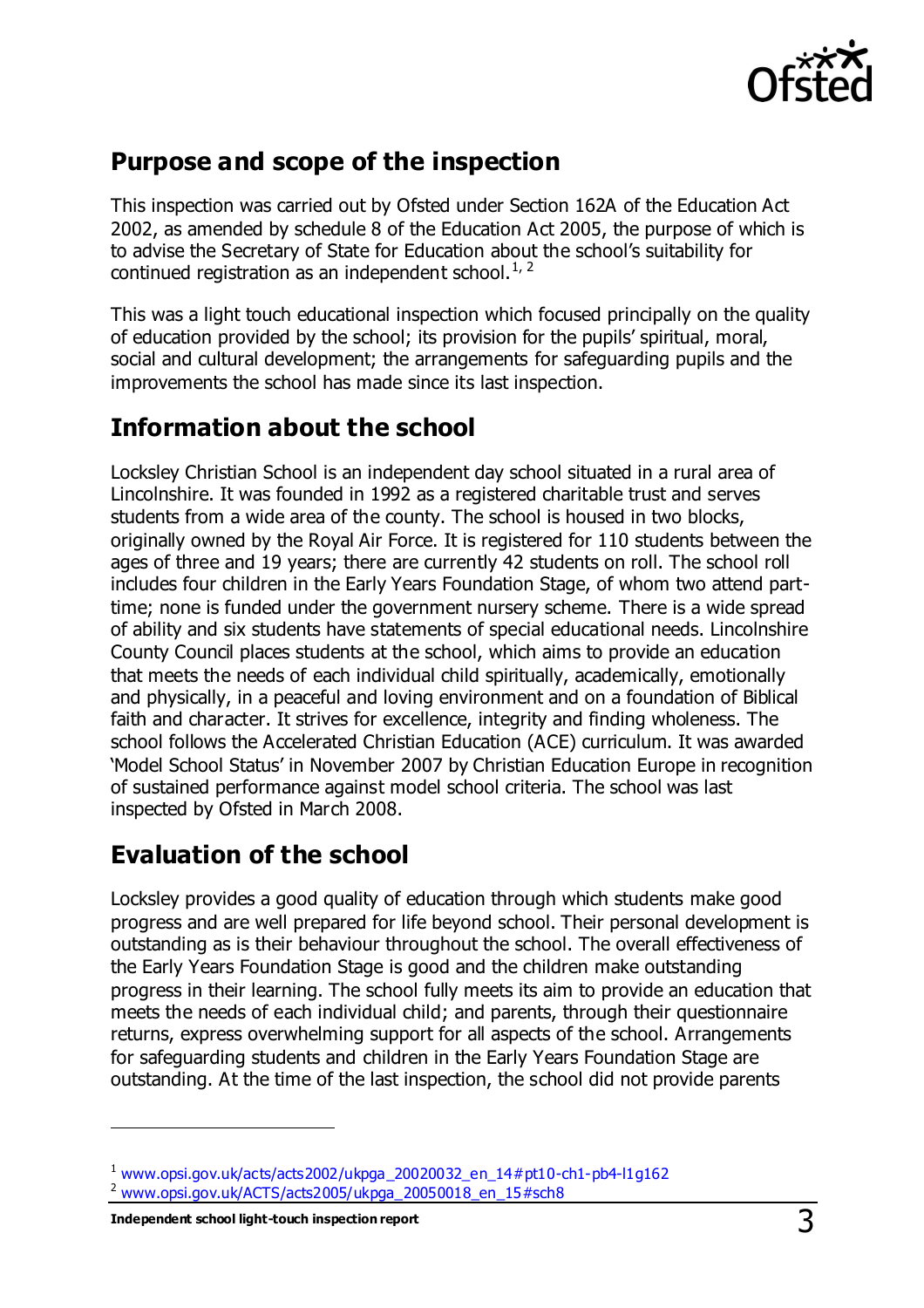

#### **Purpose and scope of the inspection**

This inspection was carried out by Ofsted under Section 162A of the Education Act 2002, as amended by schedule 8 of the Education Act 2005, the purpose of which is to advise the Secretary of State for Education about the school's suitability for continued registration as an independent school.<sup>1, 2</sup>

This was a light touch educational inspection which focused principally on the quality of education provided by the school; its provision for the pupils' spiritual, moral, social and cultural development; the arrangements for safeguarding pupils and the improvements the school has made since its last inspection.

# **Information about the school**

Locksley Christian School is an independent day school situated in a rural area of Lincolnshire. It was founded in 1992 as a registered charitable trust and serves students from a wide area of the county. The school is housed in two blocks, originally owned by the Royal Air Force. It is registered for 110 students between the ages of three and 19 years; there are currently 42 students on roll. The school roll includes four children in the Early Years Foundation Stage, of whom two attend parttime; none is funded under the government nursery scheme. There is a wide spread of ability and six students have statements of special educational needs. Lincolnshire County Council places students at the school, which aims to provide an education that meets the needs of each individual child spiritually, academically, emotionally and physically, in a peaceful and loving environment and on a foundation of Biblical faith and character. It strives for excellence, integrity and finding wholeness. The school follows the Accelerated Christian Education (ACE) curriculum. It was awarded 'Model School Status' in November 2007 by Christian Education Europe in recognition of sustained performance against model school criteria. The school was last inspected by Ofsted in March 2008.

## **Evaluation of the school**

Locksley provides a good quality of education through which students make good progress and are well prepared for life beyond school. Their personal development is outstanding as is their behaviour throughout the school. The overall effectiveness of the Early Years Foundation Stage is good and the children make outstanding progress in their learning. The school fully meets its aim to provide an education that meets the needs of each individual child; and parents, through their questionnaire returns, express overwhelming support for all aspects of the school. Arrangements for safeguarding students and children in the Early Years Foundation Stage are outstanding. At the time of the last inspection, the school did not provide parents

 $\overline{a}$ 

 $1$  [www.opsi.gov.uk/acts/acts2002/ukpga\\_20020032\\_en\\_14#pt10-ch1-pb4-l1g162](https://www.opsi.gov.uk/acts/acts2002/ukpga_20020032_en_14%23pt10-ch1-pb4-l1g162)

<sup>2</sup> [www.opsi.gov.uk/ACTS/acts2005/ukpga\\_20050018\\_en\\_15#sch8](http://www.opsi.gov.uk/ACTS/acts2005/ukpga_20050018_en_15#sch8)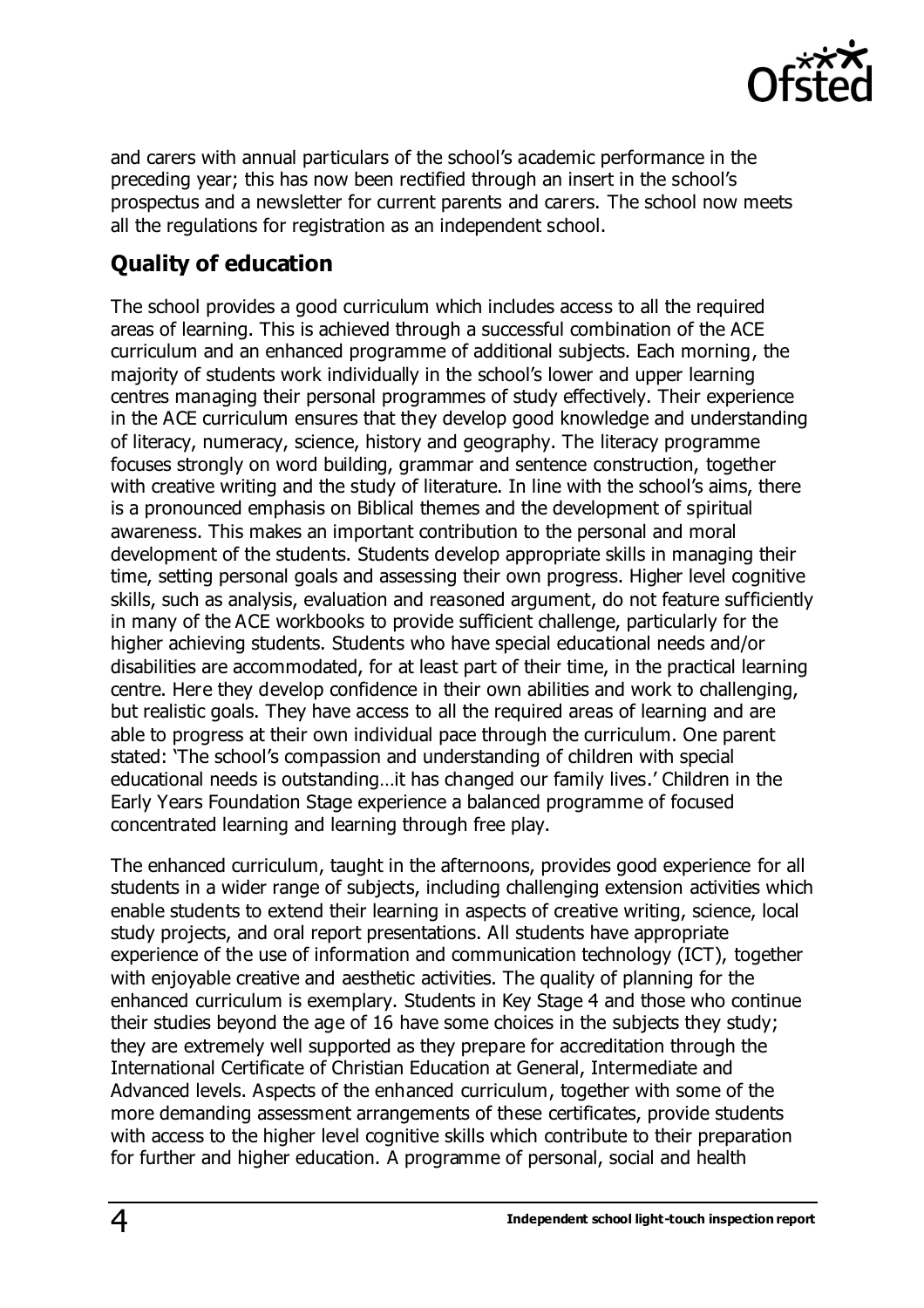

and carers with annual particulars of the school's academic performance in the preceding year; this has now been rectified through an insert in the school's prospectus and a newsletter for current parents and carers. The school now meets all the regulations for registration as an independent school.

#### **Quality of education**

The school provides a good curriculum which includes access to all the required areas of learning. This is achieved through a successful combination of the ACE curriculum and an enhanced programme of additional subjects. Each morning, the majority of students work individually in the school's lower and upper learning centres managing their personal programmes of study effectively. Their experience in the ACE curriculum ensures that they develop good knowledge and understanding of literacy, numeracy, science, history and geography. The literacy programme focuses strongly on word building, grammar and sentence construction, together with creative writing and the study of literature. In line with the school's aims, there is a pronounced emphasis on Biblical themes and the development of spiritual awareness. This makes an important contribution to the personal and moral development of the students. Students develop appropriate skills in managing their time, setting personal goals and assessing their own progress. Higher level cognitive skills, such as analysis, evaluation and reasoned argument, do not feature sufficiently in many of the ACE workbooks to provide sufficient challenge, particularly for the higher achieving students. Students who have special educational needs and/or disabilities are accommodated, for at least part of their time, in the practical learning centre. Here they develop confidence in their own abilities and work to challenging, but realistic goals. They have access to all the required areas of learning and are able to progress at their own individual pace through the curriculum. One parent stated: 'The school's compassion and understanding of children with special educational needs is outstanding…it has changed our family lives.' Children in the Early Years Foundation Stage experience a balanced programme of focused concentrated learning and learning through free play.

The enhanced curriculum, taught in the afternoons, provides good experience for all students in a wider range of subjects, including challenging extension activities which enable students to extend their learning in aspects of creative writing, science, local study projects, and oral report presentations. All students have appropriate experience of the use of information and communication technology (ICT), together with enjoyable creative and aesthetic activities. The quality of planning for the enhanced curriculum is exemplary. Students in Key Stage 4 and those who continue their studies beyond the age of 16 have some choices in the subjects they study; they are extremely well supported as they prepare for accreditation through the International Certificate of Christian Education at General, Intermediate and Advanced levels. Aspects of the enhanced curriculum, together with some of the more demanding assessment arrangements of these certificates, provide students with access to the higher level cognitive skills which contribute to their preparation for further and higher education. A programme of personal, social and health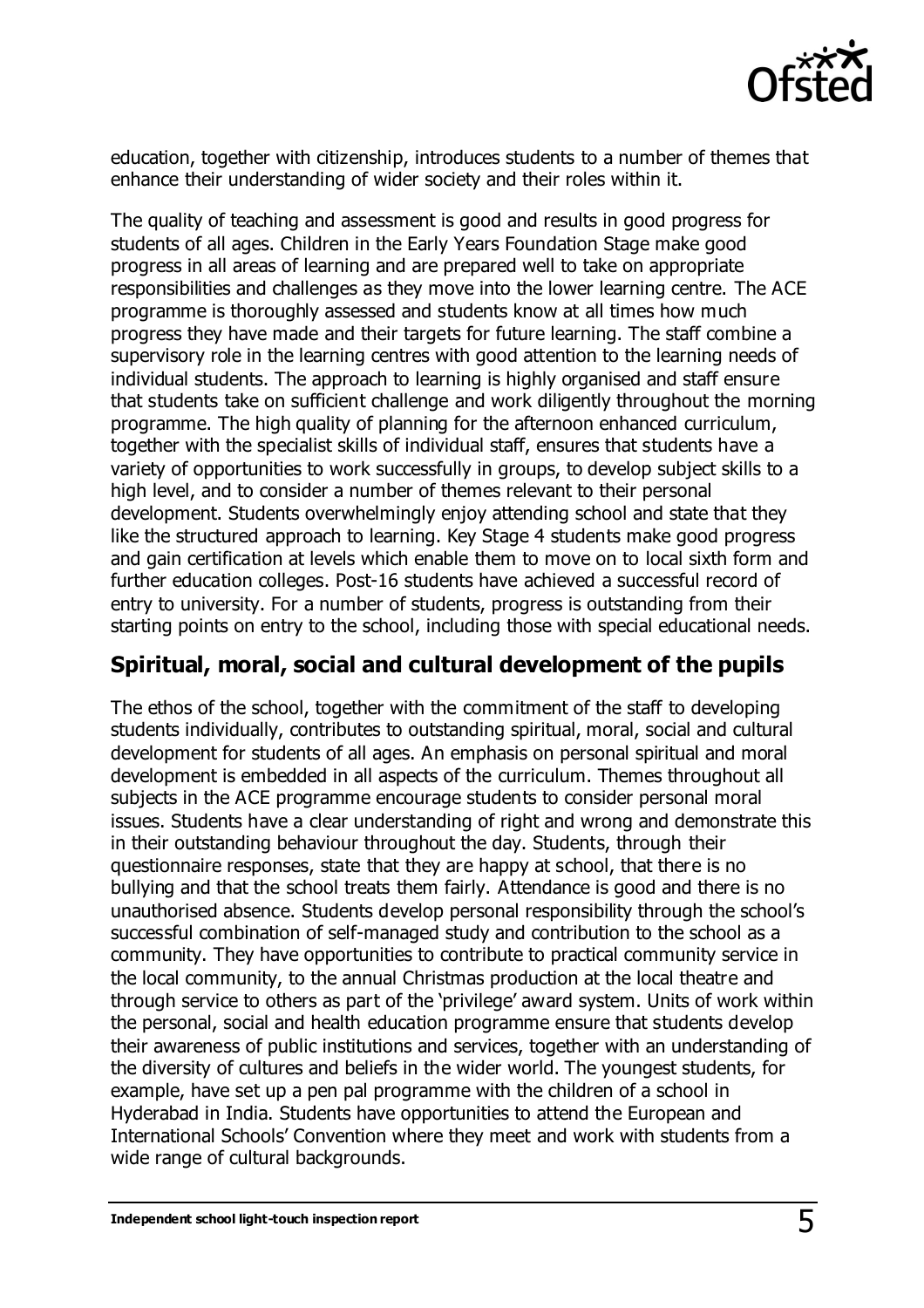

education, together with citizenship, introduces students to a number of themes that enhance their understanding of wider society and their roles within it.

The quality of teaching and assessment is good and results in good progress for students of all ages. Children in the Early Years Foundation Stage make good progress in all areas of learning and are prepared well to take on appropriate responsibilities and challenges as they move into the lower learning centre. The ACE programme is thoroughly assessed and students know at all times how much progress they have made and their targets for future learning. The staff combine a supervisory role in the learning centres with good attention to the learning needs of individual students. The approach to learning is highly organised and staff ensure that students take on sufficient challenge and work diligently throughout the morning programme. The high quality of planning for the afternoon enhanced curriculum, together with the specialist skills of individual staff, ensures that students have a variety of opportunities to work successfully in groups, to develop subject skills to a high level, and to consider a number of themes relevant to their personal development. Students overwhelmingly enjoy attending school and state that they like the structured approach to learning. Key Stage 4 students make good progress and gain certification at levels which enable them to move on to local sixth form and further education colleges. Post-16 students have achieved a successful record of entry to university. For a number of students, progress is outstanding from their starting points on entry to the school, including those with special educational needs.

#### **Spiritual, moral, social and cultural development of the pupils**

The ethos of the school, together with the commitment of the staff to developing students individually, contributes to outstanding spiritual, moral, social and cultural development for students of all ages. An emphasis on personal spiritual and moral development is embedded in all aspects of the curriculum. Themes throughout all subjects in the ACE programme encourage students to consider personal moral issues. Students have a clear understanding of right and wrong and demonstrate this in their outstanding behaviour throughout the day. Students, through their questionnaire responses, state that they are happy at school, that there is no bullying and that the school treats them fairly. Attendance is good and there is no unauthorised absence. Students develop personal responsibility through the school's successful combination of self-managed study and contribution to the school as a community. They have opportunities to contribute to practical community service in the local community, to the annual Christmas production at the local theatre and through service to others as part of the 'privilege' award system. Units of work within the personal, social and health education programme ensure that students develop their awareness of public institutions and services, together with an understanding of the diversity of cultures and beliefs in the wider world. The youngest students, for example, have set up a pen pal programme with the children of a school in Hyderabad in India. Students have opportunities to attend the European and International Schools' Convention where they meet and work with students from a wide range of cultural backgrounds.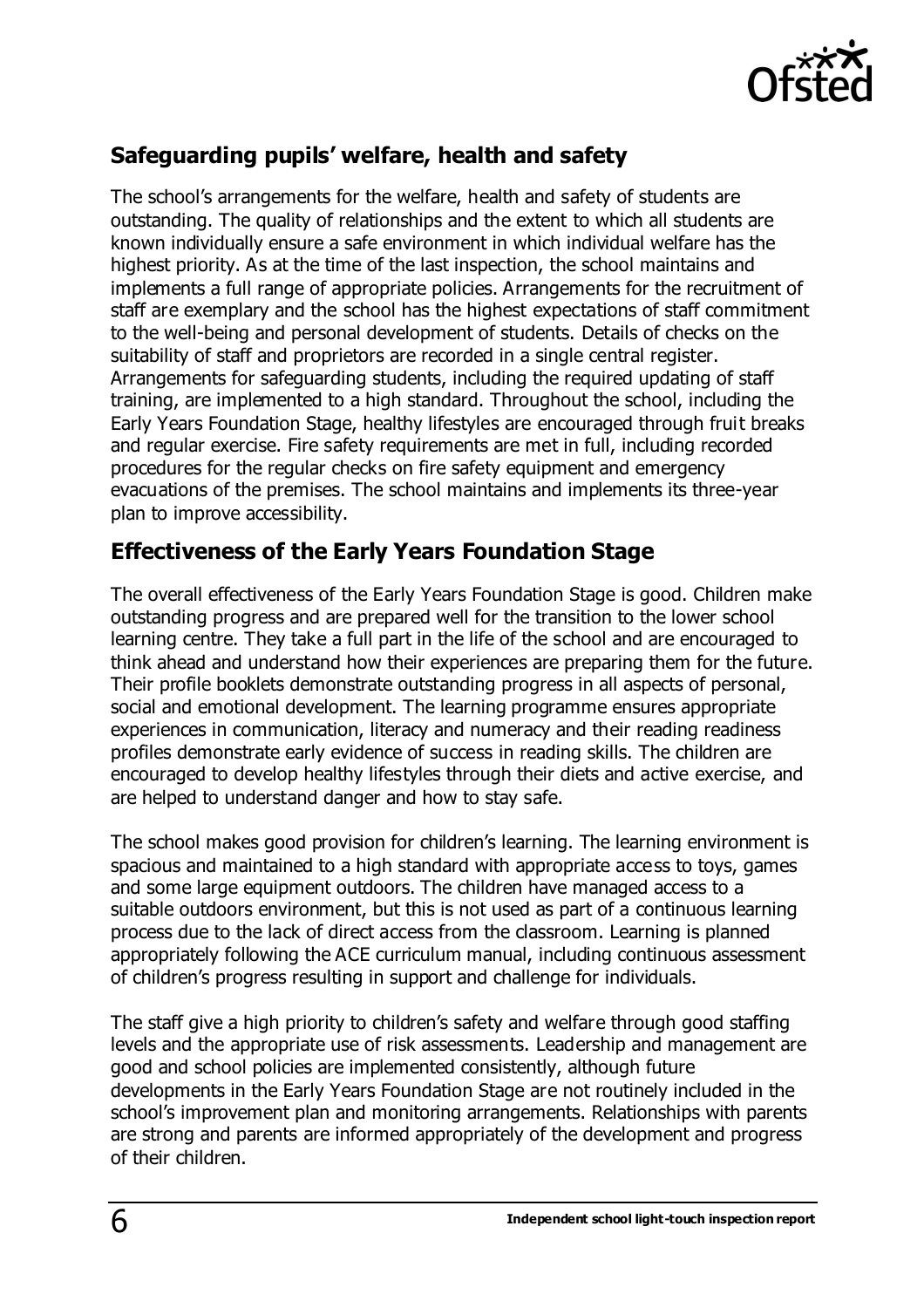

#### **Safeguarding pupils' welfare, health and safety**

The school's arrangements for the welfare, health and safety of students are outstanding. The quality of relationships and the extent to which all students are known individually ensure a safe environment in which individual welfare has the highest priority. As at the time of the last inspection, the school maintains and implements a full range of appropriate policies. Arrangements for the recruitment of staff are exemplary and the school has the highest expectations of staff commitment to the well-being and personal development of students. Details of checks on the suitability of staff and proprietors are recorded in a single central register. Arrangements for safeguarding students, including the required updating of staff training, are implemented to a high standard. Throughout the school, including the Early Years Foundation Stage, healthy lifestyles are encouraged through fruit breaks and regular exercise. Fire safety requirements are met in full, including recorded procedures for the regular checks on fire safety equipment and emergency evacuations of the premises. The school maintains and implements its three-year plan to improve accessibility.

#### **Effectiveness of the Early Years Foundation Stage**

The overall effectiveness of the Early Years Foundation Stage is good. Children make outstanding progress and are prepared well for the transition to the lower school learning centre. They take a full part in the life of the school and are encouraged to think ahead and understand how their experiences are preparing them for the future. Their profile booklets demonstrate outstanding progress in all aspects of personal, social and emotional development. The learning programme ensures appropriate experiences in communication, literacy and numeracy and their reading readiness profiles demonstrate early evidence of success in reading skills. The children are encouraged to develop healthy lifestyles through their diets and active exercise, and are helped to understand danger and how to stay safe.

The school makes good provision for children's learning. The learning environment is spacious and maintained to a high standard with appropriate access to toys, games and some large equipment outdoors. The children have managed access to a suitable outdoors environment, but this is not used as part of a continuous learning process due to the lack of direct access from the classroom. Learning is planned appropriately following the ACE curriculum manual, including continuous assessment of children's progress resulting in support and challenge for individuals.

The staff give a high priority to children's safety and welfare through good staffing levels and the appropriate use of risk assessments. Leadership and management are good and school policies are implemented consistently, although future developments in the Early Years Foundation Stage are not routinely included in the school's improvement plan and monitoring arrangements. Relationships with parents are strong and parents are informed appropriately of the development and progress of their children.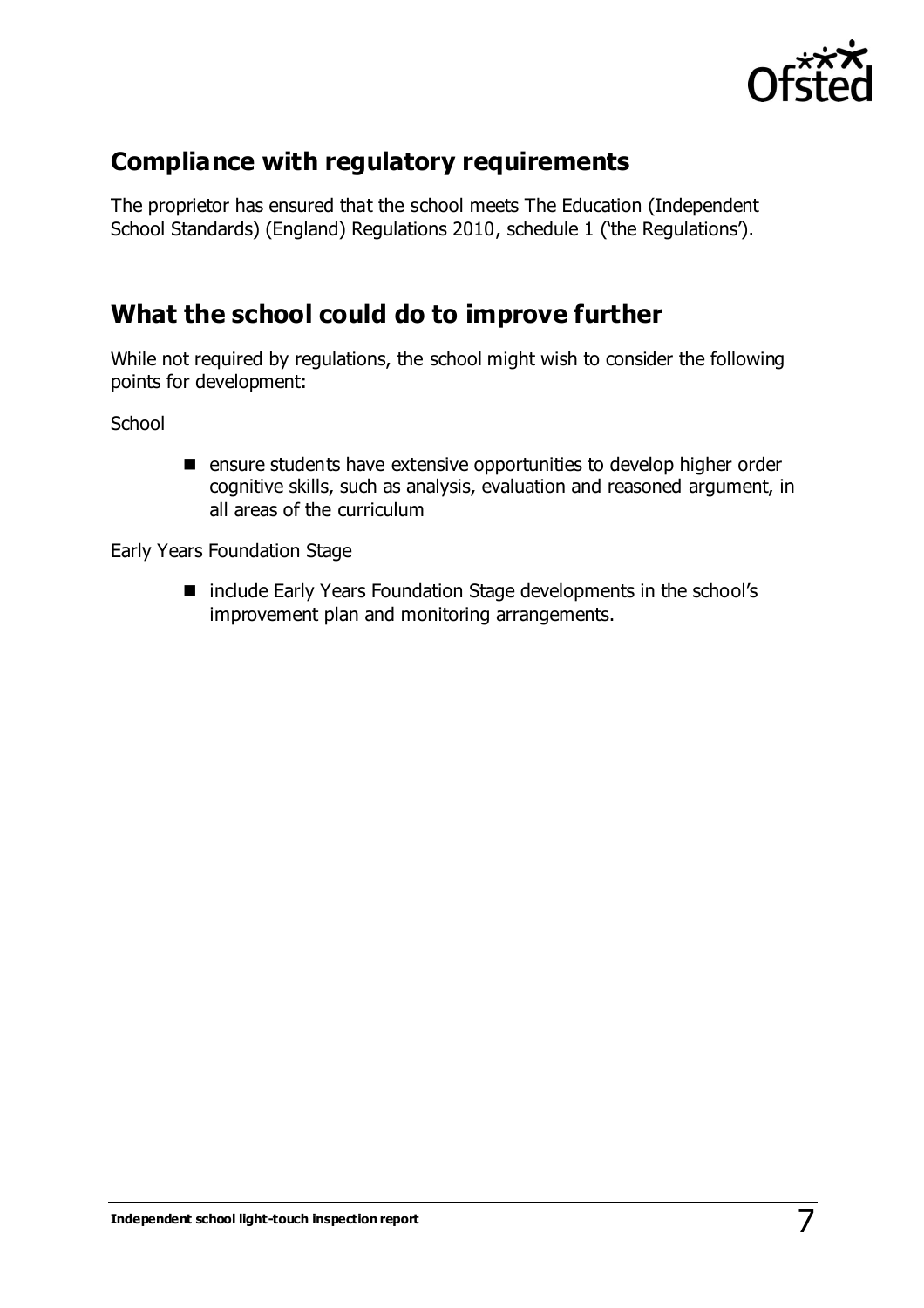

## **Compliance with regulatory requirements**

The proprietor has ensured that the school meets The Education (Independent School Standards) (England) Regulations 2010, schedule 1 ('the Regulations').

## **What the school could do to improve further**

While not required by regulations, the school might wish to consider the following points for development:

**School** 

 $\blacksquare$  ensure students have extensive opportunities to develop higher order cognitive skills, such as analysis, evaluation and reasoned argument, in all areas of the curriculum

Early Years Foundation Stage

■ include Early Years Foundation Stage developments in the school's improvement plan and monitoring arrangements.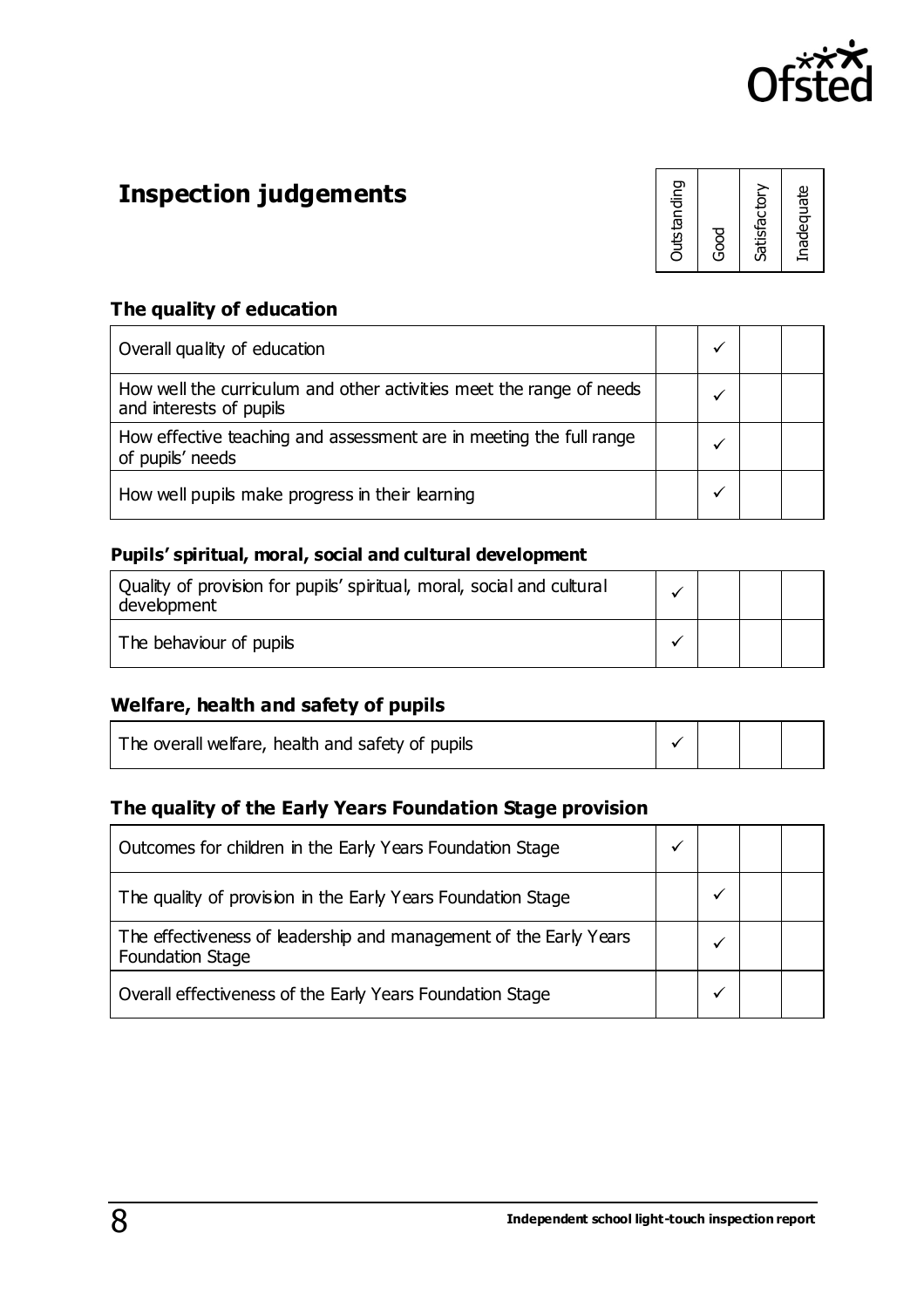

# **Inspection judgements**

| <b>Outstanding</b><br>შ<br>მა |
|-------------------------------|
| Satisfactory                  |
| Inadequate                    |

#### **The quality of education**

| Overall quality of education                                                                    |  |  |
|-------------------------------------------------------------------------------------------------|--|--|
| How well the curriculum and other activities meet the range of needs<br>and interests of pupils |  |  |
| How effective teaching and assessment are in meeting the full range<br>of pupils' needs         |  |  |
| How well pupils make progress in their learning                                                 |  |  |

#### **Pupils' spiritual, moral, social and cultural development**

| Quality of provision for pupils' spiritual, moral, social and cultural<br>development |  |  |
|---------------------------------------------------------------------------------------|--|--|
| The behaviour of pupils                                                               |  |  |

#### **Welfare, health and safety of pupils**

| The overall welfare, health and safety of pupils |  |  |  |  |  |
|--------------------------------------------------|--|--|--|--|--|
|--------------------------------------------------|--|--|--|--|--|

#### **The quality of the Early Years Foundation Stage provision**

| Outcomes for children in the Early Years Foundation Stage                                    |  |  |
|----------------------------------------------------------------------------------------------|--|--|
| The quality of provision in the Early Years Foundation Stage                                 |  |  |
| The effectiveness of leadership and management of the Early Years<br><b>Foundation Stage</b> |  |  |
| Overall effectiveness of the Early Years Foundation Stage                                    |  |  |